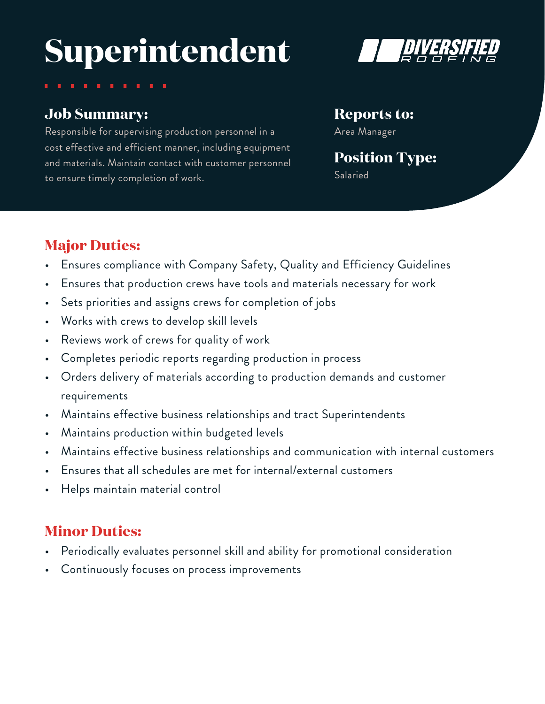# **Superintendent**



### **Job Summary:**

Responsible for supervising production personnel in a cost effective and efficient manner, including equipment and materials. Maintain contact with customer personnel to ensure timely completion of work.

#### **Reports to:**

Area Manager

# **Position Type:**

Salaried

## **Major Duties:**

- Ensures compliance with Company Safety, Quality and Efficiency Guidelines
- Ensures that production crews have tools and materials necessary for work
- Sets priorities and assigns crews for completion of jobs
- Works with crews to develop skill levels
- Reviews work of crews for quality of work
- Completes periodic reports regarding production in process
- Orders delivery of materials according to production demands and customer requirements
- Maintains effective business relationships and tract Superintendents
- Maintains production within budgeted levels
- Maintains effective business relationships and communication with internal customers
- Ensures that all schedules are met for internal/external customers
- Helps maintain material control

# **Minor Duties:**

- Periodically evaluates personnel skill and ability for promotional consideration
- Continuously focuses on process improvements